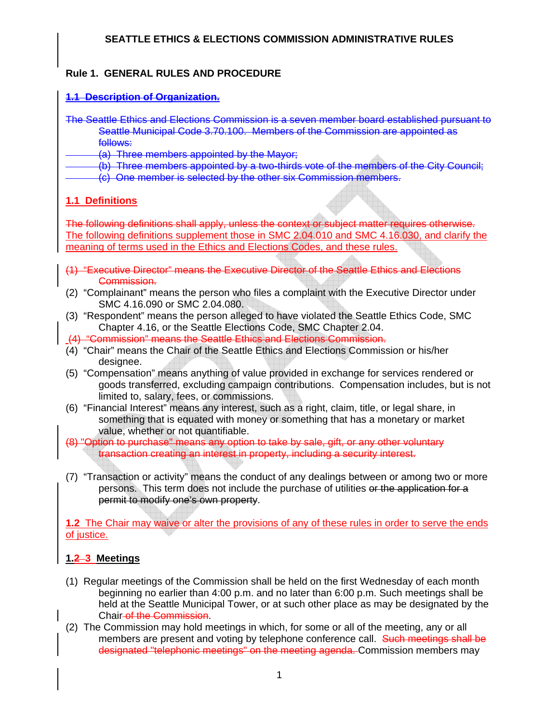### **Rule 1. GENERAL RULES AND PROCEDURE**

#### **1.1 Description of Organization.**

The Seattle Ethics and Elections Commission is a seven member board established pursuant to Seattle Municipal Code 3.70.100. Members of the Commission are appointed as follows:

(a) Three members appointed by the Mayor;

(b) Three members appointed by a two-thirds vote of the members of the City Council;

(c) One member is selected by the other six Commission members.

### **1.1 Definitions**

The following definitions shall apply, unless the context or subject matter requires otherwise. The following definitions supplement those in SMC 2.04.010 and SMC 4.16.030, and clarify the meaning of terms used in the Ethics and Elections Codes, and these rules.

- (1) "Executive Director" means the Executive Director of the Seattle Ethics and Elections Commission.
- (2) "Complainant" means the person who files a complaint with the Executive Director under SMC 4.16.090 or SMC 2.04.080.
- (3) "Respondent" means the person alleged to have violated the Seattle Ethics Code, SMC Chapter 4.16, or the Seattle Elections Code, SMC Chapter 2.04.
- (4) "Commission" means the Seattle Ethics and Elections Commission.
- (4) "Chair" means the Chair of the Seattle Ethics and Elections Commission or his/her designee.
- (5) "Compensation" means anything of value provided in exchange for services rendered or goods transferred, excluding campaign contributions. Compensation includes, but is not limited to, salary, fees, or commissions.
- (6) "Financial Interest" means any interest, such as a right, claim, title, or legal share, in something that is equated with money or something that has a monetary or market value, whether or not quantifiable.
- (8) "Option to purchase" means any option to take by sale, gift, or any other voluntary transaction creating an interest in property, including a security interest.
- (7) "Transaction or activity" means the conduct of any dealings between or among two or more persons. This term does not include the purchase of utilities or the application for a permit to modify one's own property.

**1.2** The Chair may waive or alter the provisions of any of these rules in order to serve the ends of justice.

### **1.2 3 Meetings**

- (1) Regular meetings of the Commission shall be held on the first Wednesday of each month beginning no earlier than 4:00 p.m. and no later than 6:00 p.m. Such meetings shall be held at the Seattle Municipal Tower, or at such other place as may be designated by the Chair of the Commission.
- (2) The Commission may hold meetings in which, for some or all of the meeting, any or all members are present and voting by telephone conference call. Such meetings shall be designated "telephonic meetings" on the meeting agenda. Commission members may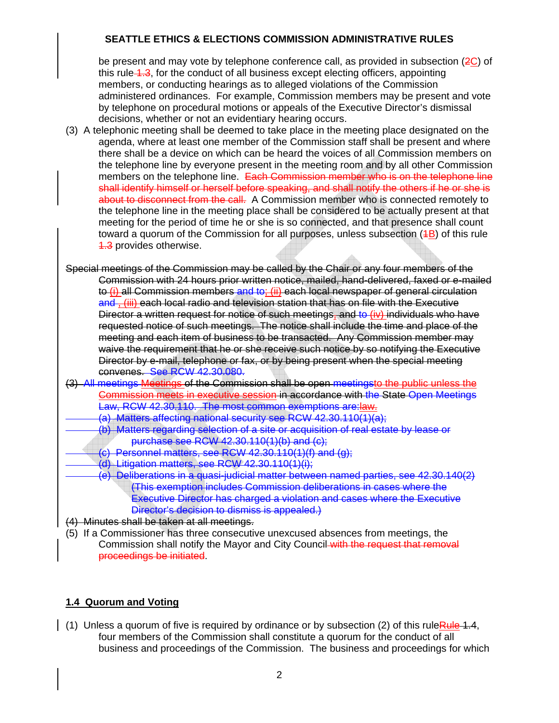be present and may vote by telephone conference call, as provided in subsection (2C) of this rule 4.3, for the conduct of all business except electing officers, appointing members, or conducting hearings as to alleged violations of the Commission administered ordinances. For example, Commission members may be present and vote by telephone on procedural motions or appeals of the Executive Director's dismissal decisions, whether or not an evidentiary hearing occurs.

- (3) A telephonic meeting shall be deemed to take place in the meeting place designated on the agenda, where at least one member of the Commission staff shall be present and where there shall be a device on which can be heard the voices of all Commission members on the telephone line by everyone present in the meeting room and by all other Commission members on the telephone line. Each Commission member who is on the telephone line shall identify himself or herself before speaking, and shall notify the others if he or she is about to disconnect from the call. A Commission member who is connected remotely to the telephone line in the meeting place shall be considered to be actually present at that meeting for the period of time he or she is so connected, and that presence shall count toward a quorum of the Commission for all purposes, unless subsection  $(4B)$  of this rule **4.3** provides otherwise.
- Special meetings of the Commission may be called by the Chair or any four members of the Commission with 24 hours prior written notice, mailed, hand-delivered, faxed or e-mailed to (i) all Commission members and to; (ii) each local newspaper of general circulation and , (iii) each local radio and television station that has on file with the Executive Director a written request for notice of such meetings, and to (iv) individuals who have requested notice of such meetings. The notice shall include the time and place of the meeting and each item of business to be transacted. Any Commission member may waive the requirement that he or she receive such notice by so notifying the Executive Director by e-mail, telephone or fax, or by being present when the special meeting convenes. See RCW 42.30.080.
- (3) All meetings Meetings of the Commission shall be open meetingsto the public unless the Commission meets in executive session in accordance with the State Open Meetings Law, RCW 42.30.110. The most common exemptions are:law.
	- (a) Matters affecting national security see RCW 42.30.110(1)(a);
	- (b) Matters regarding selection of a site or acquisition of real estate by lease or purchase see RCW 42.30.110(1)(b) and (c);
	- Personnel matters, see RCW 42.30.110(1)(f) and  $(q)$ ;
	- (d) Litigation matters, see RCW 42.30.110(1)(i);
		- (e) Deliberations in a quasi-judicial matter between named parties, see 42.30.140(2) (This exemption includes Commission deliberations in cases where the Executive Director has charged a violation and cases where the Executive Director's decision to dismiss is appealed.)
- (4) Minutes shall be taken at all meetings.
- (5) If a Commissioner has three consecutive unexcused absences from meetings, the Commission shall notify the Mayor and City Council with the request that removal proceedings be initiated.

### **1.4 Quorum and Voting**

(1) Unless a quorum of five is required by ordinance or by subsection (2) of this rule Rule 1.4, four members of the Commission shall constitute a quorum for the conduct of all business and proceedings of the Commission. The business and proceedings for which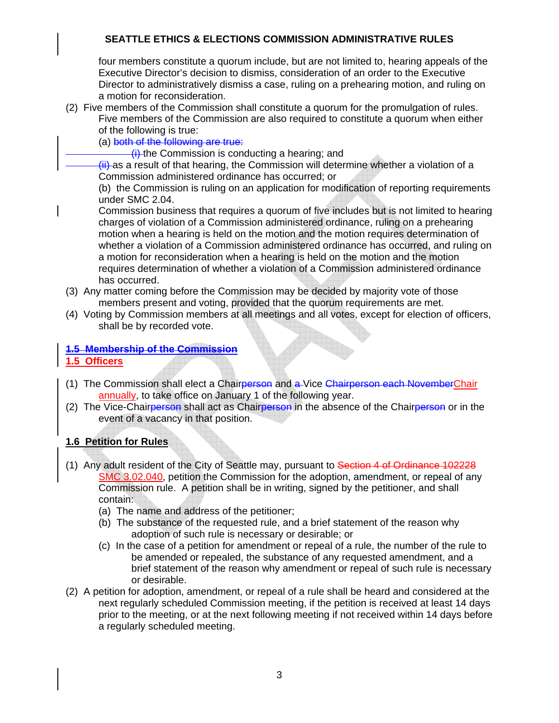four members constitute a quorum include, but are not limited to, hearing appeals of the Executive Director's decision to dismiss, consideration of an order to the Executive Director to administratively dismiss a case, ruling on a prehearing motion, and ruling on a motion for reconsideration.

- (2) Five members of the Commission shall constitute a quorum for the promulgation of rules. Five members of the Commission are also required to constitute a quorum when either of the following is true:
	- (a) both of the following are true:
		- $(i)$ -the Commission is conducting a hearing; and
	- $\overline{f}$ ) as a result of that hearing, the Commission will determine whether a violation of a Commission administered ordinance has occurred; or

 (b) the Commission is ruling on an application for modification of reporting requirements under SMC 2.04.

 Commission business that requires a quorum of five includes but is not limited to hearing charges of violation of a Commission administered ordinance, ruling on a prehearing motion when a hearing is held on the motion and the motion requires determination of whether a violation of a Commission administered ordinance has occurred, and ruling on a motion for reconsideration when a hearing is held on the motion and the motion requires determination of whether a violation of a Commission administered ordinance has occurred.

- (3) Any matter coming before the Commission may be decided by majority vote of those members present and voting, provided that the quorum requirements are met.
- (4) Voting by Commission members at all meetings and all votes, except for election of officers, shall be by recorded vote.

#### **1.5 Membership of the Commission 1.5 Officers**

- (1) The Commission shall elect a Chairperson and a Vice Chairperson each NovemberChair annually, to take office on January 1 of the following year.
- (2) The Vice-Chairperson shall act as Chairperson in the absence of the Chairperson or in the event of a vacancy in that position.

### **1.6 Petition for Rules**

- (1) Any adult resident of the City of Seattle may, pursuant to Section 4 of Ordinance 102228 SMC 3.02.040, petition the Commission for the adoption, amendment, or repeal of any Commission rule. A petition shall be in writing, signed by the petitioner, and shall contain:
	- (a) The name and address of the petitioner;
	- (b) The substance of the requested rule, and a brief statement of the reason why adoption of such rule is necessary or desirable; or
	- (c) In the case of a petition for amendment or repeal of a rule, the number of the rule to be amended or repealed, the substance of any requested amendment, and a brief statement of the reason why amendment or repeal of such rule is necessary or desirable.
- (2) A petition for adoption, amendment, or repeal of a rule shall be heard and considered at the next regularly scheduled Commission meeting, if the petition is received at least 14 days prior to the meeting, or at the next following meeting if not received within 14 days before a regularly scheduled meeting.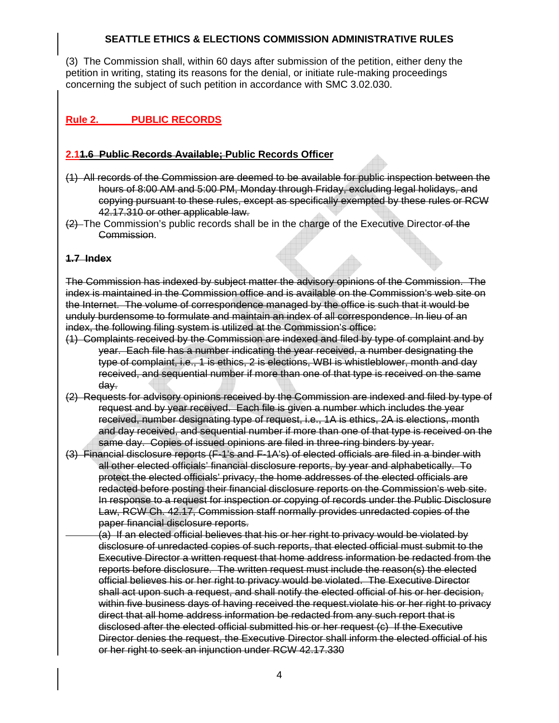(3) The Commission shall, within 60 days after submission of the petition, either deny the petition in writing, stating its reasons for the denial, or initiate rule-making proceedings concerning the subject of such petition in accordance with SMC 3.02.030.

## **Rule 2. PUBLIC RECORDS**

#### **2.11.6 Public Records Available; Public Records Officer**

- (1) All records of the Commission are deemed to be available for public inspection between the hours of 8:00 AM and 5:00 PM, Monday through Friday, excluding legal holidays, and copying pursuant to these rules, except as specifically exempted by these rules or RCW 42.17.310 or other applicable law.
- $(2)$  The Commission's public records shall be in the charge of the Executive Director of the Commission.

#### **1.7 Index**

The Commission has indexed by subject matter the advisory opinions of the Commission. The index is maintained in the Commission office and is available on the Commission's web site on the Internet. The volume of correspondence managed by the office is such that it would be unduly burdensome to formulate and maintain an index of all correspondence. In lieu of an index, the following filing system is utilized at the Commission's office:

- (1) Complaints received by the Commission are indexed and filed by type of complaint and by year. Each file has a number indicating the year received, a number designating the type of complaint, i.e., 1 is ethics, 2 is elections, WBI is whistleblower, month and day received, and sequential number if more than one of that type is received on the same day.
- (2) Requests for advisory opinions received by the Commission are indexed and filed by type of request and by year received. Each file is given a number which includes the year received, number designating type of request, i.e., 1A is ethics, 2A is elections, month and day received, and sequential number if more than one of that type is received on the same day. Copies of issued opinions are filed in three-ring binders by year.
- (3) Financial disclosure reports (F-1's and F-1A's) of elected officials are filed in a binder with all other elected officials' financial disclosure reports, by year and alphabetically. To protect the elected officials' privacy, the home addresses of the elected officials are redacted before posting their financial disclosure reports on the Commission's web site. In response to a request for inspection or copying of records under the Public Disclosure Law, RCW Ch. 42.17, Commission staff normally provides unredacted copies of the paper financial disclosure reports.
	- (a) If an elected official believes that his or her right to privacy would be violated by disclosure of unredacted copies of such reports, that elected official must submit to the Executive Director a written request that home address information be redacted from the reports before disclosure. The written request must include the reason(s) the elected official believes his or her right to privacy would be violated. The Executive Director shall act upon such a request, and shall notify the elected official of his or her decision, within five business days of having received the request.violate his or her right to privacy direct that all home address information be redacted from any such report that is disclosed after the elected official submitted his or her request (c) If the Executive Director denies the request, the Executive Director shall inform the elected official of his or her right to seek an injunction under RCW 42.17.330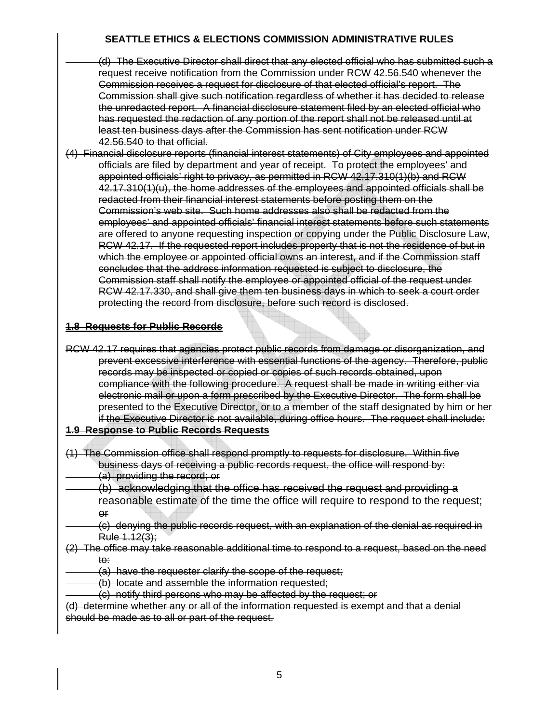- (d) The Executive Director shall direct that any elected official who has submitted such a request receive notification from the Commission under RCW 42.56.540 whenever the Commission receives a request for disclosure of that elected official's report. The Commission shall give such notification regardless of whether it has decided to release the unredacted report. A financial disclosure statement filed by an elected official who has requested the redaction of any portion of the report shall not be released until at least ten business days after the Commission has sent notification under RCW 42.56.540 to that official.
- (4) Financial disclosure reports (financial interest statements) of City employees and appointed officials are filed by department and year of receipt. To protect the employees' and appointed officials' right to privacy, as permitted in RCW 42.17.310(1)(b) and RCW  $42.17.310(1)(u)$ , the home addresses of the employees and appointed officials shall be redacted from their financial interest statements before posting them on the Commission's web site. Such home addresses also shall be redacted from the employees' and appointed officials' financial interest statements before such statements are offered to anyone requesting inspection or copying under the Public Disclosure Law, RCW 42.17. If the requested report includes property that is not the residence of but in which the employee or appointed official owns an interest, and if the Commission staff concludes that the address information requested is subject to disclosure, the Commission staff shall notify the employee or appointed official of the request under RCW 42.17.330, and shall give them ten business days in which to seek a court order protecting the record from disclosure, before such record is disclosed.

#### **1.8 Requests for Public Records**

RCW 42.17 requires that agencies protect public records from damage or disorganization, and prevent excessive interference with essential functions of the agency. Therefore, public records may be inspected or copied or copies of such records obtained, upon compliance with the following procedure. A request shall be made in writing either via electronic mail or upon a form prescribed by the Executive Director. The form shall be presented to the Executive Director, or to a member of the staff designated by him or her if the Executive Director is not available, during office hours. The request shall include:

#### **1.9 Response to Public Records Requests**

- (1) The Commission office shall respond promptly to requests for disclosure. Within five business days of receiving a public records request, the office will respond by: (a) providing the record; or
	- (b) acknowledging that the office has received the request and providing a reasonable estimate of the time the office will require to respond to the request; or
	- (c) denying the public records request, with an explanation of the denial as required in Rule 1.12(3);
- (2) The office may take reasonable additional time to respond to a request, based on the need to:
	- (a) have the requester clarify the scope of the request;
	- (b) locate and assemble the information requested;
	- (c) notify third persons who may be affected by the request; or
- (d) determine whether any or all of the information requested is exempt and that a denial should be made as to all or part of the request.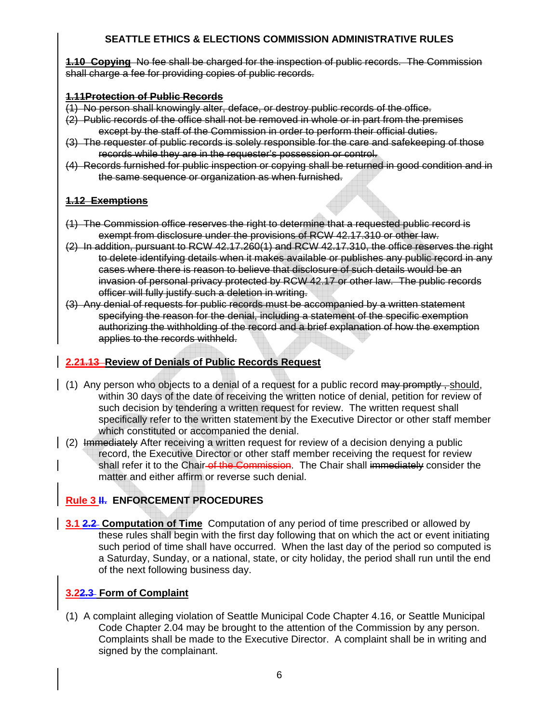**1.10 Copying** No fee shall be charged for the inspection of public records. The Commission shall charge a fee for providing copies of public records.

#### **1.11Protection of Public Records**

- (1) No person shall knowingly alter, deface, or destroy public records of the office.
- (2) Public records of the office shall not be removed in whole or in part from the premises except by the staff of the Commission in order to perform their official duties.
- (3) The requester of public records is solely responsible for the care and safekeeping of those records while they are in the requester's possession or control.
- (4) Records furnished for public inspection or copying shall be returned in good condition and in the same sequence or organization as when furnished.

#### **1.12 Exemptions**

- (1) The Commission office reserves the right to determine that a requested public record is exempt from disclosure under the provisions of RCW 42.17.310 or other law.
- (2) In addition, pursuant to RCW 42.17.260(1) and RCW 42.17.310, the office reserves the right to delete identifying details when it makes available or publishes any public record in any cases where there is reason to believe that disclosure of such details would be an invasion of personal privacy protected by RCW 42.17 or other law. The public records officer will fully justify such a deletion in writing.
- (3) Any denial of requests for public records must be accompanied by a written statement specifying the reason for the denial, including a statement of the specific exemption authorizing the withholding of the record and a brief explanation of how the exemption applies to the records withheld.

#### **2.21.13 Review of Denials of Public Records Request**

- (1) Any person who objects to a denial of a request for a public record  $\theta$  may promptly. should, within 30 days of the date of receiving the written notice of denial, petition for review of such decision by tendering a written request for review. The written request shall specifically refer to the written statement by the Executive Director or other staff member which constituted or accompanied the denial.
- (2) Immediately After receiving a written request for review of a decision denying a public record, the Executive Director or other staff member receiving the request for review shall refer it to the Chair-of the Commission. The Chair shall immediately consider the matter and either affirm or reverse such denial.

### **Rule 3 II. ENFORCEMENT PROCEDURES**

**3.1 2.2 Computation of Time** Computation of any period of time prescribed or allowed by these rules shall begin with the first day following that on which the act or event initiating such period of time shall have occurred. When the last day of the period so computed is a Saturday, Sunday, or a national, state, or city holiday, the period shall run until the end of the next following business day.

### **3.22.3 Form of Complaint**

(1) A complaint alleging violation of Seattle Municipal Code Chapter 4.16, or Seattle Municipal Code Chapter 2.04 may be brought to the attention of the Commission by any person. Complaints shall be made to the Executive Director. A complaint shall be in writing and signed by the complainant.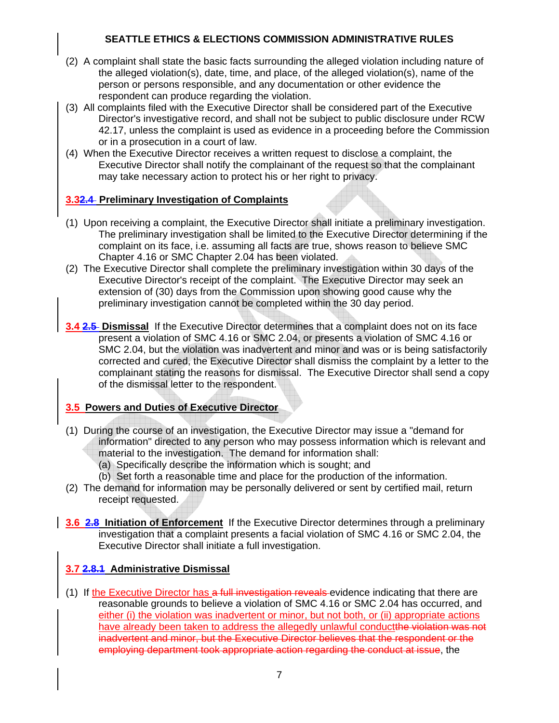- (2) A complaint shall state the basic facts surrounding the alleged violation including nature of the alleged violation(s), date, time, and place, of the alleged violation(s), name of the person or persons responsible, and any documentation or other evidence the respondent can produce regarding the violation.
- (3) All complaints filed with the Executive Director shall be considered part of the Executive Director's investigative record, and shall not be subject to public disclosure under RCW 42.17, unless the complaint is used as evidence in a proceeding before the Commission or in a prosecution in a court of law.
- (4) When the Executive Director receives a written request to disclose a complaint, the Executive Director shall notify the complainant of the request so that the complainant may take necessary action to protect his or her right to privacy.

#### **3.32.4 Preliminary Investigation of Complaints**

- (1) Upon receiving a complaint, the Executive Director shall initiate a preliminary investigation. The preliminary investigation shall be limited to the Executive Director determining if the complaint on its face, i.e. assuming all facts are true, shows reason to believe SMC Chapter 4.16 or SMC Chapter 2.04 has been violated.
- (2) The Executive Director shall complete the preliminary investigation within 30 days of the Executive Director's receipt of the complaint. The Executive Director may seek an extension of (30) days from the Commission upon showing good cause why the preliminary investigation cannot be completed within the 30 day period.
- **3.4 2.5 Dismissal** If the Executive Director determines that a complaint does not on its face present a violation of SMC 4.16 or SMC 2.04, or presents a violation of SMC 4.16 or SMC 2.04, but the violation was inadvertent and minor and was or is being satisfactorily corrected and cured, the Executive Director shall dismiss the complaint by a letter to the complainant stating the reasons for dismissal. The Executive Director shall send a copy of the dismissal letter to the respondent.

### **3.5 Powers and Duties of Executive Director**

- (1) During the course of an investigation, the Executive Director may issue a "demand for information" directed to any person who may possess information which is relevant and material to the investigation. The demand for information shall:
	- (a) Specifically describe the information which is sought; and
	- (b) Set forth a reasonable time and place for the production of the information.
- (2) The demand for information may be personally delivered or sent by certified mail, return receipt requested.
- **3.6 2.8 Initiation of Enforcement** If the Executive Director determines through a preliminary investigation that a complaint presents a facial violation of SMC 4.16 or SMC 2.04, the Executive Director shall initiate a full investigation.

### **3.7 2.8.1 Administrative Dismissal**

(1) If the Executive Director has a full investigation reveals evidence indicating that there are reasonable grounds to believe a violation of SMC 4.16 or SMC 2.04 has occurred, and either (i) the violation was inadvertent or minor, but not both, or (ii) appropriate actions have already been taken to address the allegedly unlawful conductthe violation was not inadvertent and minor, but the Executive Director believes that the respondent or the employing department took appropriate action regarding the conduct at issue, the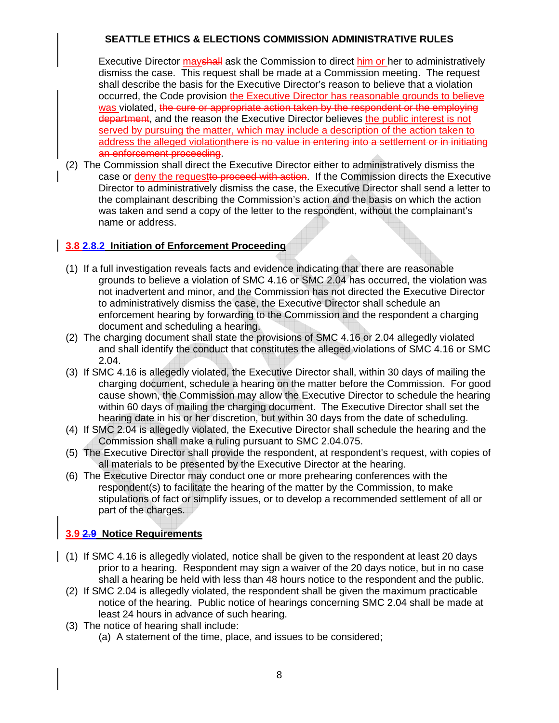Executive Director mayshall ask the Commission to direct him or her to administratively dismiss the case. This request shall be made at a Commission meeting. The request shall describe the basis for the Executive Director's reason to believe that a violation occurred, the Code provision the Executive Director has reasonable grounds to believe was violated, the cure or appropriate action taken by the respondent or the employing department, and the reason the Executive Director believes the public interest is not served by pursuing the matter, which may include a description of the action taken to address the alleged violationthere is no value in entering into a settlement or in initiating an enforcement proceeding.

(2) The Commission shall direct the Executive Director either to administratively dismiss the case or deny the requestto proceed with action. If the Commission directs the Executive Director to administratively dismiss the case, the Executive Director shall send a letter to the complainant describing the Commission's action and the basis on which the action was taken and send a copy of the letter to the respondent, without the complainant's name or address.

## **3.8 2.8.2 Initiation of Enforcement Proceeding**

- (1) If a full investigation reveals facts and evidence indicating that there are reasonable grounds to believe a violation of SMC 4.16 or SMC 2.04 has occurred, the violation was not inadvertent and minor, and the Commission has not directed the Executive Director to administratively dismiss the case, the Executive Director shall schedule an enforcement hearing by forwarding to the Commission and the respondent a charging document and scheduling a hearing.
- (2) The charging document shall state the provisions of SMC 4.16 or 2.04 allegedly violated and shall identify the conduct that constitutes the alleged violations of SMC 4.16 or SMC 2.04.
- (3) If SMC 4.16 is allegedly violated, the Executive Director shall, within 30 days of mailing the charging document, schedule a hearing on the matter before the Commission. For good cause shown, the Commission may allow the Executive Director to schedule the hearing within 60 days of mailing the charging document. The Executive Director shall set the hearing date in his or her discretion, but within 30 days from the date of scheduling.
- (4) If SMC 2.04 is allegedly violated, the Executive Director shall schedule the hearing and the Commission shall make a ruling pursuant to SMC 2.04.075.
- (5) The Executive Director shall provide the respondent, at respondent's request, with copies of all materials to be presented by the Executive Director at the hearing.
- (6) The Executive Director may conduct one or more prehearing conferences with the respondent(s) to facilitate the hearing of the matter by the Commission, to make stipulations of fact or simplify issues, or to develop a recommended settlement of all or part of the charges.

# **3.9 2.9 Notice Requirements**

- (1) If SMC 4.16 is allegedly violated, notice shall be given to the respondent at least 20 days prior to a hearing. Respondent may sign a waiver of the 20 days notice, but in no case shall a hearing be held with less than 48 hours notice to the respondent and the public.
	- (2) If SMC 2.04 is allegedly violated, the respondent shall be given the maximum practicable notice of the hearing. Public notice of hearings concerning SMC 2.04 shall be made at least 24 hours in advance of such hearing.
	- (3) The notice of hearing shall include:
		- (a) A statement of the time, place, and issues to be considered;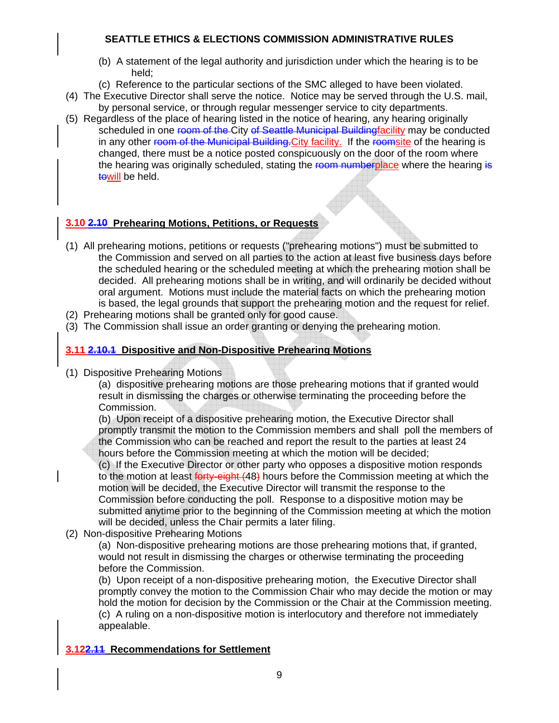- (b) A statement of the legal authority and jurisdiction under which the hearing is to be held;
- (c) Reference to the particular sections of the SMC alleged to have been violated.
- (4) The Executive Director shall serve the notice. Notice may be served through the U.S. mail, by personal service, or through regular messenger service to city departments.
- (5) Regardless of the place of hearing listed in the notice of hearing, any hearing originally scheduled in one room of the City of Seattle Municipal Buildingfacility may be conducted in any other room of the Municipal Building. City facility. If the roomsite of the hearing is changed, there must be a notice posted conspicuously on the door of the room where the hearing was originally scheduled, stating the room numberplace where the hearing is towill be held.

### **3.10 2.10 Prehearing Motions, Petitions, or Requests**

- (1) All prehearing motions, petitions or requests ("prehearing motions") must be submitted to the Commission and served on all parties to the action at least five business days before the scheduled hearing or the scheduled meeting at which the prehearing motion shall be decided. All prehearing motions shall be in writing, and will ordinarily be decided without oral argument. Motions must include the material facts on which the prehearing motion is based, the legal grounds that support the prehearing motion and the request for relief.
- (2) Prehearing motions shall be granted only for good cause.
- (3) The Commission shall issue an order granting or denying the prehearing motion.

#### **3.11 2.10.1 Dispositive and Non-Dispositive Prehearing Motions**

(1) Dispositive Prehearing Motions

 (a) dispositive prehearing motions are those prehearing motions that if granted would result in dismissing the charges or otherwise terminating the proceeding before the Commission.

 (b) Upon receipt of a dispositive prehearing motion, the Executive Director shall promptly transmit the motion to the Commission members and shall poll the members of the Commission who can be reached and report the result to the parties at least 24 hours before the Commission meeting at which the motion will be decided;

 (c) If the Executive Director or other party who opposes a dispositive motion responds to the motion at least forty-eight (48) hours before the Commission meeting at which the motion will be decided, the Executive Director will transmit the response to the Commission before conducting the poll. Response to a dispositive motion may be submitted anytime prior to the beginning of the Commission meeting at which the motion will be decided, unless the Chair permits a later filing.

(2) Non-dispositive Prehearing Motions

 (a) Non-dispositive prehearing motions are those prehearing motions that, if granted, would not result in dismissing the charges or otherwise terminating the proceeding before the Commission.

 (b) Upon receipt of a non-dispositive prehearing motion, the Executive Director shall promptly convey the motion to the Commission Chair who may decide the motion or may hold the motion for decision by the Commission or the Chair at the Commission meeting. (c) A ruling on a non-dispositive motion is interlocutory and therefore not immediately appealable.

#### **3.122.11 Recommendations for Settlement**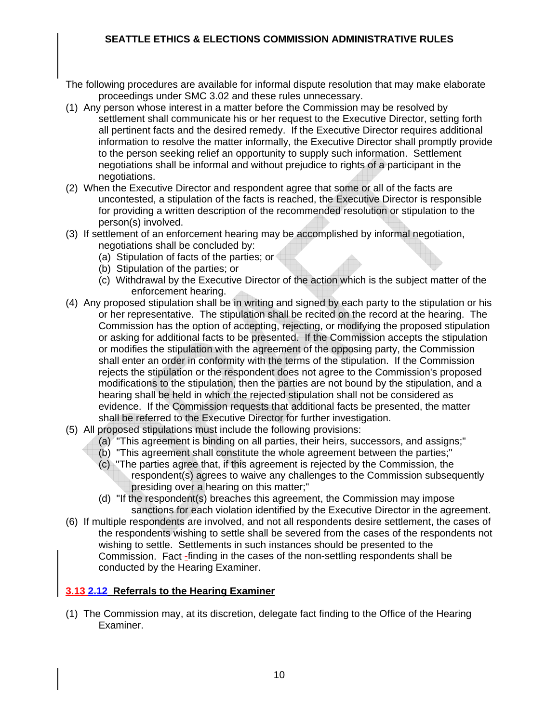- The following procedures are available for informal dispute resolution that may make elaborate proceedings under SMC 3.02 and these rules unnecessary.
- (1) Any person whose interest in a matter before the Commission may be resolved by settlement shall communicate his or her request to the Executive Director, setting forth all pertinent facts and the desired remedy. If the Executive Director requires additional information to resolve the matter informally, the Executive Director shall promptly provide to the person seeking relief an opportunity to supply such information. Settlement negotiations shall be informal and without prejudice to rights of a participant in the negotiations.
- (2) When the Executive Director and respondent agree that some or all of the facts are uncontested, a stipulation of the facts is reached, the Executive Director is responsible for providing a written description of the recommended resolution or stipulation to the person(s) involved.
- (3) If settlement of an enforcement hearing may be accomplished by informal negotiation, negotiations shall be concluded by:
	- (a) Stipulation of facts of the parties; or
	- (b) Stipulation of the parties; or
	- (c) Withdrawal by the Executive Director of the action which is the subject matter of the enforcement hearing.
- (4) Any proposed stipulation shall be in writing and signed by each party to the stipulation or his or her representative. The stipulation shall be recited on the record at the hearing. The Commission has the option of accepting, rejecting, or modifying the proposed stipulation or asking for additional facts to be presented. If the Commission accepts the stipulation or modifies the stipulation with the agreement of the opposing party, the Commission shall enter an order in conformity with the terms of the stipulation. If the Commission rejects the stipulation or the respondent does not agree to the Commission's proposed modifications to the stipulation, then the parties are not bound by the stipulation, and a hearing shall be held in which the rejected stipulation shall not be considered as evidence. If the Commission requests that additional facts be presented, the matter shall be referred to the Executive Director for further investigation.
- (5) All proposed stipulations must include the following provisions:
	- (a) "This agreement is binding on all parties, their heirs, successors, and assigns;"
	- (b) "This agreement shall constitute the whole agreement between the parties;"
	- (c) "The parties agree that, if this agreement is rejected by the Commission, the respondent(s) agrees to waive any challenges to the Commission subsequently presiding over a hearing on this matter;"
	- (d) "If the respondent(s) breaches this agreement, the Commission may impose sanctions for each violation identified by the Executive Director in the agreement.
- (6) If multiple respondents are involved, and not all respondents desire settlement, the cases of the respondents wishing to settle shall be severed from the cases of the respondents not wishing to settle. Settlements in such instances should be presented to the Commission. Fact--finding in the cases of the non-settling respondents shall be conducted by the Hearing Examiner.

### **3.13 2.12 Referrals to the Hearing Examiner**

(1) The Commission may, at its discretion, delegate fact finding to the Office of the Hearing Examiner.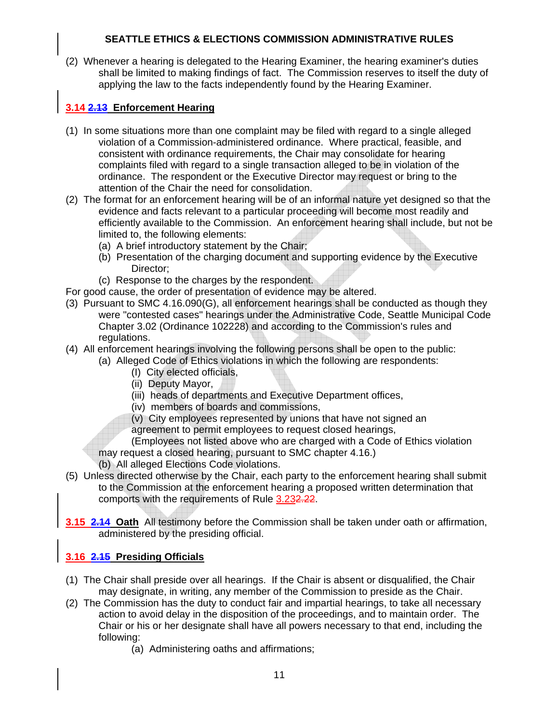(2) Whenever a hearing is delegated to the Hearing Examiner, the hearing examiner's duties shall be limited to making findings of fact. The Commission reserves to itself the duty of applying the law to the facts independently found by the Hearing Examiner.

## **3.14 2.13 Enforcement Hearing**

- (1) In some situations more than one complaint may be filed with regard to a single alleged violation of a Commission-administered ordinance. Where practical, feasible, and consistent with ordinance requirements, the Chair may consolidate for hearing complaints filed with regard to a single transaction alleged to be in violation of the ordinance. The respondent or the Executive Director may request or bring to the attention of the Chair the need for consolidation.
- (2) The format for an enforcement hearing will be of an informal nature yet designed so that the evidence and facts relevant to a particular proceeding will become most readily and efficiently available to the Commission. An enforcement hearing shall include, but not be limited to, the following elements:
	- (a) A brief introductory statement by the Chair;
	- (b) Presentation of the charging document and supporting evidence by the Executive Director;
	- (c) Response to the charges by the respondent.

For good cause, the order of presentation of evidence may be altered.

- (3) Pursuant to SMC 4.16.090(G), all enforcement hearings shall be conducted as though they were "contested cases" hearings under the Administrative Code, Seattle Municipal Code Chapter 3.02 (Ordinance 102228) and according to the Commission's rules and regulations.
- (4) All enforcement hearings involving the following persons shall be open to the public:
	- (a) Alleged Code of Ethics violations in which the following are respondents:
		- (I) City elected officials,
		- (ii) Deputy Mayor,
		- (iii) heads of departments and Executive Department offices,
		- (iv) members of boards and commissions,
		- (v) City employees represented by unions that have not signed an
		- agreement to permit employees to request closed hearings,
		- (Employees not listed above who are charged with a Code of Ethics violation
	- may request a closed hearing, pursuant to SMC chapter 4.16.)
	- (b) All alleged Elections Code violations.
- (5) Unless directed otherwise by the Chair, each party to the enforcement hearing shall submit to the Commission at the enforcement hearing a proposed written determination that comports with the requirements of Rule 3.232.22.
- **3.15 2.14 Oath** All testimony before the Commission shall be taken under oath or affirmation, administered by the presiding official.

### **3.16 2.15 Presiding Officials**

- (1) The Chair shall preside over all hearings. If the Chair is absent or disqualified, the Chair may designate, in writing, any member of the Commission to preside as the Chair.
- (2) The Commission has the duty to conduct fair and impartial hearings, to take all necessary action to avoid delay in the disposition of the proceedings, and to maintain order. The Chair or his or her designate shall have all powers necessary to that end, including the following:
	- (a) Administering oaths and affirmations;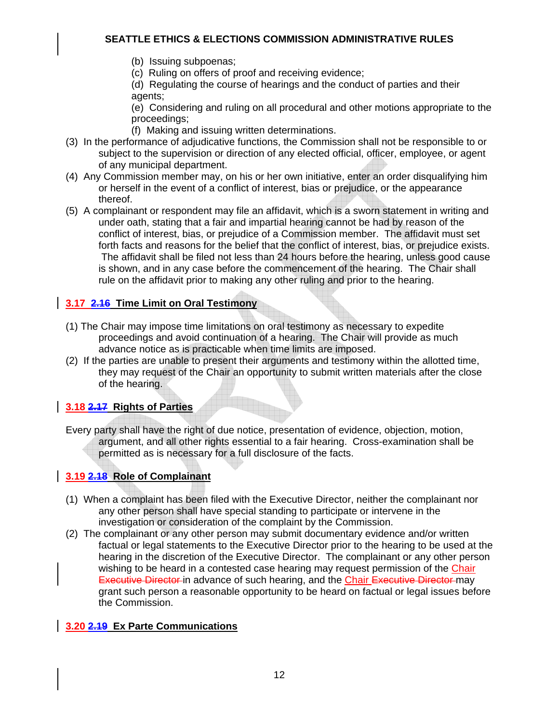- (b) Issuing subpoenas;
- (c) Ruling on offers of proof and receiving evidence;

 (d) Regulating the course of hearings and the conduct of parties and their agents;

 (e) Considering and ruling on all procedural and other motions appropriate to the proceedings;

(f) Making and issuing written determinations.

- (3) In the performance of adjudicative functions, the Commission shall not be responsible to or subject to the supervision or direction of any elected official, officer, employee, or agent of any municipal department.
- (4) Any Commission member may, on his or her own initiative, enter an order disqualifying him or herself in the event of a conflict of interest, bias or prejudice, or the appearance thereof.
- (5) A complainant or respondent may file an affidavit, which is a sworn statement in writing and under oath, stating that a fair and impartial hearing cannot be had by reason of the conflict of interest, bias, or prejudice of a Commission member. The affidavit must set forth facts and reasons for the belief that the conflict of interest, bias, or prejudice exists. The affidavit shall be filed not less than 24 hours before the hearing, unless good cause is shown, and in any case before the commencement of the hearing. The Chair shall rule on the affidavit prior to making any other ruling and prior to the hearing.

## **3.17 2.16 Time Limit on Oral Testimony**

- (1) The Chair may impose time limitations on oral testimony as necessary to expedite proceedings and avoid continuation of a hearing. The Chair will provide as much advance notice as is practicable when time limits are imposed.
- (2) If the parties are unable to present their arguments and testimony within the allotted time, they may request of the Chair an opportunity to submit written materials after the close of the hearing.

## **3.18 2.17 Rights of Parties**

Every party shall have the right of due notice, presentation of evidence, objection, motion, argument, and all other rights essential to a fair hearing. Cross-examination shall be permitted as is necessary for a full disclosure of the facts.

# **3.19 2.18 Role of Complainant**

- (1) When a complaint has been filed with the Executive Director, neither the complainant nor any other person shall have special standing to participate or intervene in the investigation or consideration of the complaint by the Commission.
- (2) The complainant or any other person may submit documentary evidence and/or written factual or legal statements to the Executive Director prior to the hearing to be used at the hearing in the discretion of the Executive Director. The complainant or any other person wishing to be heard in a contested case hearing may request permission of the Chair **Executive Director-in advance of such hearing, and the Chair Executive Director-may** grant such person a reasonable opportunity to be heard on factual or legal issues before the Commission.

### **3.20 2.19 Ex Parte Communications**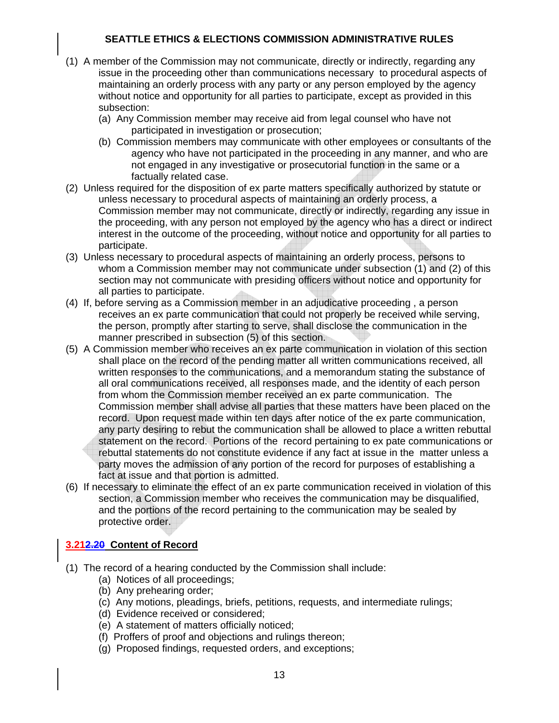- (1) A member of the Commission may not communicate, directly or indirectly, regarding any issue in the proceeding other than communications necessary to procedural aspects of maintaining an orderly process with any party or any person employed by the agency without notice and opportunity for all parties to participate, except as provided in this subsection:
	- (a) Any Commission member may receive aid from legal counsel who have not participated in investigation or prosecution;
	- (b) Commission members may communicate with other employees or consultants of the agency who have not participated in the proceeding in any manner, and who are not engaged in any investigative or prosecutorial function in the same or a factually related case.
- (2) Unless required for the disposition of ex parte matters specifically authorized by statute or unless necessary to procedural aspects of maintaining an orderly process, a Commission member may not communicate, directly or indirectly, regarding any issue in the proceeding, with any person not employed by the agency who has a direct or indirect interest in the outcome of the proceeding, without notice and opportunity for all parties to participate.
- (3) Unless necessary to procedural aspects of maintaining an orderly process, persons to whom a Commission member may not communicate under subsection (1) and (2) of this section may not communicate with presiding officers without notice and opportunity for all parties to participate.
- (4) If, before serving as a Commission member in an adjudicative proceeding , a person receives an ex parte communication that could not properly be received while serving, the person, promptly after starting to serve, shall disclose the communication in the manner prescribed in subsection (5) of this section.
- (5) A Commission member who receives an ex parte communication in violation of this section shall place on the record of the pending matter all written communications received, all written responses to the communications, and a memorandum stating the substance of all oral communications received, all responses made, and the identity of each person from whom the Commission member received an ex parte communication. The Commission member shall advise all parties that these matters have been placed on the record. Upon request made within ten days after notice of the ex parte communication, any party desiring to rebut the communication shall be allowed to place a written rebuttal statement on the record. Portions of the record pertaining to ex pate communications or rebuttal statements do not constitute evidence if any fact at issue in the matter unless a party moves the admission of any portion of the record for purposes of establishing a fact at issue and that portion is admitted.
- (6) If necessary to eliminate the effect of an ex parte communication received in violation of this section, a Commission member who receives the communication may be disqualified, and the portions of the record pertaining to the communication may be sealed by protective order.

### **3.212.20 Content of Record**

- (1) The record of a hearing conducted by the Commission shall include:
	- (a) Notices of all proceedings;
	- (b) Any prehearing order;
	- (c) Any motions, pleadings, briefs, petitions, requests, and intermediate rulings;
	- (d) Evidence received or considered;
	- (e) A statement of matters officially noticed;
	- (f) Proffers of proof and objections and rulings thereon;
	- (g) Proposed findings, requested orders, and exceptions;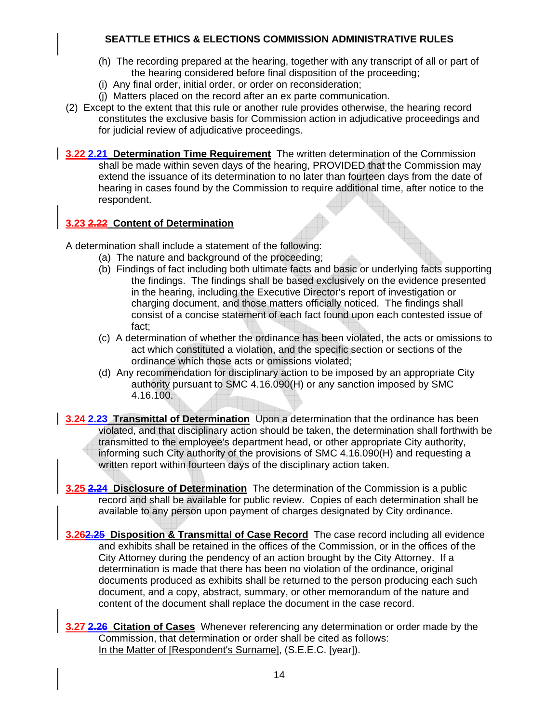- (h) The recording prepared at the hearing, together with any transcript of all or part of the hearing considered before final disposition of the proceeding;
- (i) Any final order, initial order, or order on reconsideration;
- (j) Matters placed on the record after an ex parte communication.
- (2) Except to the extent that this rule or another rule provides otherwise, the hearing record constitutes the exclusive basis for Commission action in adjudicative proceedings and for judicial review of adjudicative proceedings.
- **3.22 2.21 Determination Time Requirement** The written determination of the Commission shall be made within seven days of the hearing, PROVIDED that the Commission may extend the issuance of its determination to no later than fourteen days from the date of hearing in cases found by the Commission to require additional time, after notice to the respondent.

### **3.23 2.22 Content of Determination**

A determination shall include a statement of the following:

- (a) The nature and background of the proceeding;
- (b) Findings of fact including both ultimate facts and basic or underlying facts supporting the findings. The findings shall be based exclusively on the evidence presented in the hearing, including the Executive Director's report of investigation or charging document, and those matters officially noticed. The findings shall consist of a concise statement of each fact found upon each contested issue of fact;
- (c) A determination of whether the ordinance has been violated, the acts or omissions to act which constituted a violation, and the specific section or sections of the ordinance which those acts or omissions violated;
- (d) Any recommendation for disciplinary action to be imposed by an appropriate City authority pursuant to SMC 4.16.090(H) or any sanction imposed by SMC 4.16.100.
- **3.24 2.23 Transmittal of Determination** Upon a determination that the ordinance has been violated, and that disciplinary action should be taken, the determination shall forthwith be transmitted to the employee's department head, or other appropriate City authority, informing such City authority of the provisions of SMC 4.16.090(H) and requesting a written report within fourteen days of the disciplinary action taken.
- **3.25 2.24 Disclosure of Determination** The determination of the Commission is a public record and shall be available for public review. Copies of each determination shall be available to any person upon payment of charges designated by City ordinance.
- **3.262.25 Disposition & Transmittal of Case Record** The case record including all evidence and exhibits shall be retained in the offices of the Commission, or in the offices of the City Attorney during the pendency of an action brought by the City Attorney. If a determination is made that there has been no violation of the ordinance, original documents produced as exhibits shall be returned to the person producing each such document, and a copy, abstract, summary, or other memorandum of the nature and content of the document shall replace the document in the case record.
- **3.27 2.26 Citation of Cases** Whenever referencing any determination or order made by the Commission, that determination or order shall be cited as follows: In the Matter of [Respondent's Surname], (S.E.E.C. [year]).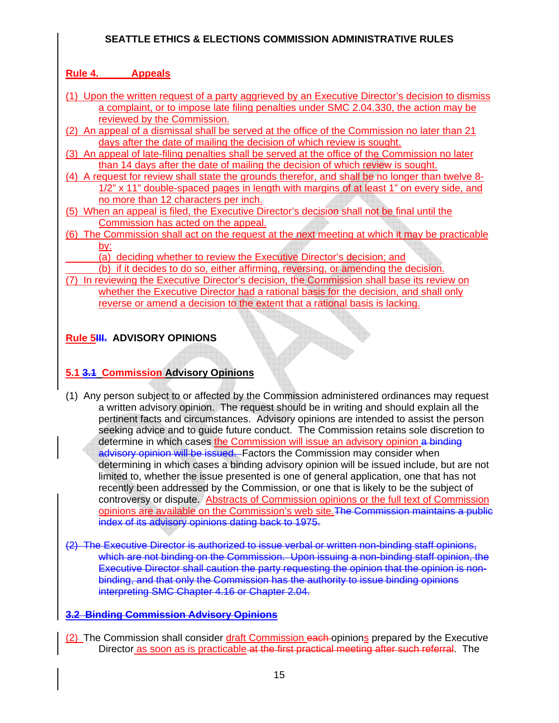### **Rule 4. Appeals**

- (1) Upon the written request of a party aggrieved by an Executive Director's decision to dismiss a complaint, or to impose late filing penalties under SMC 2.04.330, the action may be reviewed by the Commission.
- (2) An appeal of a dismissal shall be served at the office of the Commission no later than 21 days after the date of mailing the decision of which review is sought.
- (3) An appeal of late-filing penalties shall be served at the office of the Commission no later than 14 days after the date of mailing the decision of which review is sought.
- (4) A request for review shall state the grounds therefor, and shall be no longer than twelve 8- 1/2" x 11" double-spaced pages in length with margins of at least 1" on every side, and no more than 12 characters per inch.
- (5) When an appeal is filed, the Executive Director's decision shall not be final until the Commission has acted on the appeal.
- (6) The Commission shall act on the request at the next meeting at which it may be practicable by:
	- (a) deciding whether to review the Executive Director's decision; and
	- (b) if it decides to do so, either affirming, reversing, or amending the decision.

A

(7) In reviewing the Executive Director's decision, the Commission shall base its review on whether the Executive Director had a rational basis for the decision, and shall only reverse or amend a decision to the extent that a rational basis is lacking.

### **Rule 5III. ADVISORY OPINIONS**

### **5.1 3.1 Commission Advisory Opinions**

- (1) Any person subject to or affected by the Commission administered ordinances may request a written advisory opinion. The request should be in writing and should explain all the pertinent facts and circumstances. Advisory opinions are intended to assist the person seeking advice and to guide future conduct. The Commission retains sole discretion to determine in which cases the Commission will issue an advisory opinion a binding advisory opinion will be issued. Factors the Commission may consider when determining in which cases a binding advisory opinion will be issued include, but are not limited to, whether the issue presented is one of general application, one that has not recently been addressed by the Commission, or one that is likely to be the subject of controversy or dispute. Abstracts of Commission opinions or the full text of Commission opinions are available on the Commission's web site.The Commission maintains a public index of its advisory opinions dating back to 1975.
- (2) The Executive Director is authorized to issue verbal or written non-binding staff opinions, which are not binding on the Commission. Upon issuing a non-binding staff opinion, the Executive Director shall caution the party requesting the opinion that the opinion is nonbinding, and that only the Commission has the authority to issue binding opinions interpreting SMC Chapter 4.16 or Chapter 2.04.

### **3.2 Binding Commission Advisory Opinions**

(2) The Commission shall consider draft Commission each opinions prepared by the Executive Director as soon as is practicable at the first practical meeting after such referral. The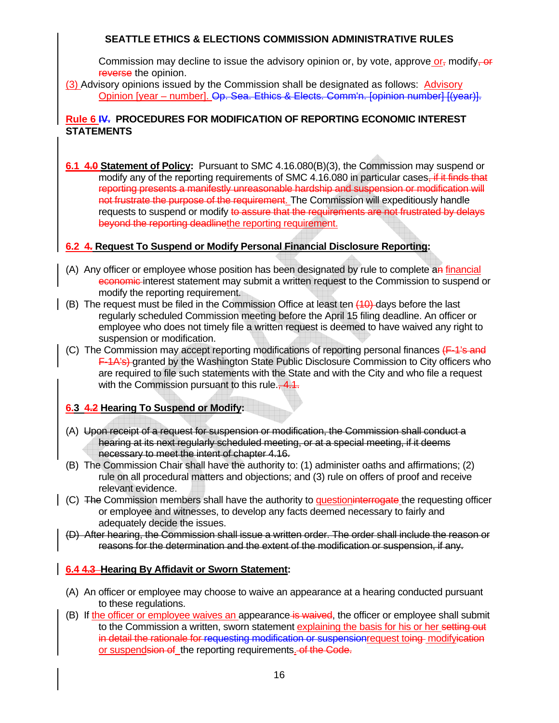Commission may decline to issue the advisory opinion or, by vote, approve  $or_{\tau}$  modify-or reverse the opinion.

(3) Advisory opinions issued by the Commission shall be designated as follows: Advisory Opinion [year – number]. Op. Sea. Ethics & Elects. Comm'n. [opinion number] [(year)].

#### **Rule 6 IV. PROCEDURES FOR MODIFICATION OF REPORTING ECONOMIC INTEREST STATEMENTS**

**6.1 4.0 Statement of Policy:** Pursuant to SMC 4.16.080(B)(3), the Commission may suspend or modify any of the reporting requirements of SMC 4.16.080 in particular cases, if it finds that reporting presents a manifestly unreasonable hardship and suspension or modification will not frustrate the purpose of the requirement. The Commission will expeditiously handle requests to suspend or modify to assure that the requirements are not frustrated by delays beyond the reporting deadlinethe reporting requirement.

#### **6.2 4. Request To Suspend or Modify Personal Financial Disclosure Reporting:**

- (A) Any officer or employee whose position has been designated by rule to complete an financial economic interest statement may submit a written request to the Commission to suspend or modify the reporting requirement.
- $(B)$  The request must be filed in the Commission Office at least ten  $\overline{40}$ -days before the last regularly scheduled Commission meeting before the April 15 filing deadline. An officer or employee who does not timely file a written request is deemed to have waived any right to suspension or modification.
- (C) The Commission may accept reporting modifications of reporting personal finances (F-1's and F-1A's) granted by the Washington State Public Disclosure Commission to City officers who are required to file such statements with the State and with the City and who file a request with the Commission pursuant to this rule., 4.1.

#### **6.3 4.2 Hearing To Suspend or Modify:**

- (A) Upon receipt of a request for suspension or modification, the Commission shall conduct a hearing at its next regularly scheduled meeting, or at a special meeting, if it deems necessary to meet the intent of chapter 4.16.
- (B) The Commission Chair shall have the authority to: (1) administer oaths and affirmations; (2) rule on all procedural matters and objections; and (3) rule on offers of proof and receive relevant evidence.
- (C) The Commission members shall have the authority to question interrogate the requesting officer or employee and witnesses, to develop any facts deemed necessary to fairly and adequately decide the issues.
- (D) After hearing, the Commission shall issue a written order. The order shall include the reason or reasons for the determination and the extent of the modification or suspension, if any.

#### **6.4 4.3 Hearing By Affidavit or Sworn Statement:**

- (A) An officer or employee may choose to waive an appearance at a hearing conducted pursuant to these regulations.
- (B) If the officer or employee waives an appearance is waived, the officer or employee shall submit to the Commission a written, sworn statement explaining the basis for his or her setting out in detail the rationale for requesting modification or suspensionrequest toing modifyication or suspendsion of the reporting requirements. of the Code.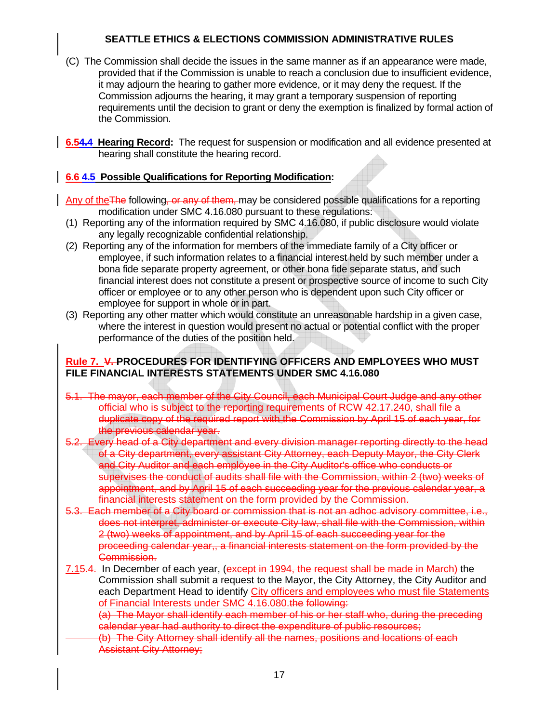- (C) The Commission shall decide the issues in the same manner as if an appearance were made, provided that if the Commission is unable to reach a conclusion due to insufficient evidence, it may adjourn the hearing to gather more evidence, or it may deny the request. If the Commission adjourns the hearing, it may grant a temporary suspension of reporting requirements until the decision to grant or deny the exemption is finalized by formal action of the Commission.
- **6.54.4 Hearing Record:** The request for suspension or modification and all evidence presented at hearing shall constitute the hearing record.

#### **6.6 4.5 Possible Qualifications for Reporting Modification:**

Any of the The following, or any of them, may be considered possible qualifications for a reporting modification under SMC 4.16.080 pursuant to these regulations:

- (1) Reporting any of the information required by SMC 4.16.080, if public disclosure would violate any legally recognizable confidential relationship.
- (2) Reporting any of the information for members of the immediate family of a City officer or employee, if such information relates to a financial interest held by such member under a bona fide separate property agreement, or other bona fide separate status, and such financial interest does not constitute a present or prospective source of income to such City officer or employee or to any other person who is dependent upon such City officer or employee for support in whole or in part.
- (3) Reporting any other matter which would constitute an unreasonable hardship in a given case, where the interest in question would present no actual or potential conflict with the proper performance of the duties of the position held.

#### **Rule 7. V. PROCEDURES FOR IDENTIFYING OFFICERS AND EMPLOYEES WHO MUST FILE FINANCIAL INTERESTS STATEMENTS UNDER SMC 4.16.080**

- 5.1. The mayor, each member of the City Council, each Municipal Court Judge and any other official who is subject to the reporting requirements of RCW 42.17.240, shall file a duplicate copy of the required report with the Commission by April 15 of each year, for the previous calendar year.
- 5.2. Every head of a City department and every division manager reporting directly to the head of a City department, every assistant City Attorney, each Deputy Mayor, the City Clerk and City Auditor and each employee in the City Auditor's office who conducts or supervises the conduct of audits shall file with the Commission, within 2 (two) weeks of appointment, and by April 15 of each succeeding year for the previous calendar year, a financial interests statement on the form provided by the Commission.
- 5.3. Each member of a City board or commission that is not an adhoc advisory committee, i.e., does not interpret, administer or execute City law, shall file with the Commission, within 2 (two) weeks of appointment, and by April 15 of each succeeding year for the proceeding calendar year,, a financial interests statement on the form provided by the Commission.
- 7.15.4. In December of each year, (except in 1994, the request shall be made in March) the Commission shall submit a request to the Mayor, the City Attorney, the City Auditor and each Department Head to identify City officers and employees who must file Statements of Financial Interests under SMC 4.16.080. the following:

(a) The Mayor shall identify each member of his or her staff who, during the preceding calendar year had authority to direct the expenditure of public resources;

(b) The City Attorney shall identify all the names, positions and locations of each Assistant City Attorney;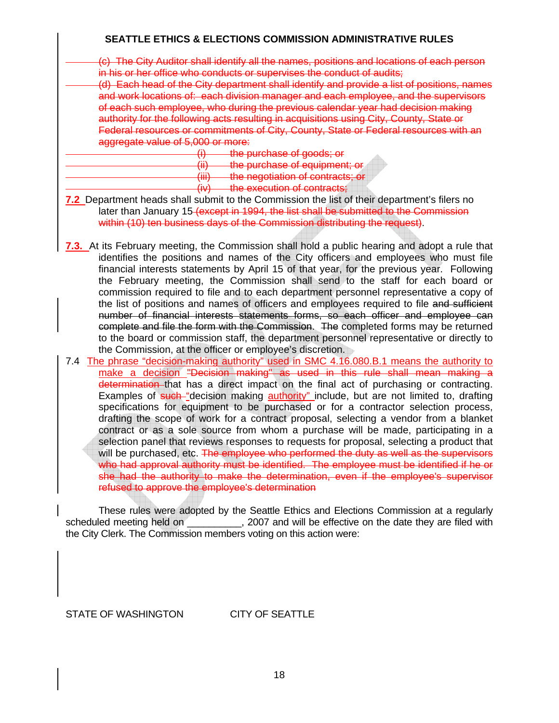(c) The City Auditor shall identify all the names, positions and locations of each person in his or her office who conducts or supervises the conduct of audits;

(d) Each head of the City department shall identify and provide a list of positions, names and work locations of: each division manager and each employee, and the supervisors of each such employee, who during the previous calendar year had decision making authority for the following acts resulting in acquisitions using City, County, State or Federal resources or commitments of City, County, State or Federal resources with an aggregate value of 5,000 or more:

- (i) the purchase of goods; or
- (ii) the purchase of equipment; or
- (iii) the negotiation of contracts; or

(iv) the execution of contracts;

- **7.2** Department heads shall submit to the Commission the list of their department's filers no later than January 15 (except in 1994, the list shall be submitted to the Commission within (10) ten business days of the Commission distributing the request).
- **7.3.** At its February meeting, the Commission shall hold a public hearing and adopt a rule that identifies the positions and names of the City officers and employees who must file financial interests statements by April 15 of that year, for the previous year. Following the February meeting, the Commission shall send to the staff for each board or commission required to file and to each department personnel representative a copy of the list of positions and names of officers and employees required to file and sufficient number of financial interests statements forms, so each officer and employee can complete and file the form with the Commission. The completed forms may be returned to the board or commission staff, the department personnel representative or directly to the Commission, at the officer or employee's discretion.
- 7.4 The phrase "decision-making authority" used in SMC 4.16.080.B.1 means the authority to make a decision "Decision making" as used in this rule shall mean making a determination that has a direct impact on the final act of purchasing or contracting. Examples of such "decision making authority" include, but are not limited to, drafting specifications for equipment to be purchased or for a contractor selection process, drafting the scope of work for a contract proposal, selecting a vendor from a blanket contract or as a sole source from whom a purchase will be made, participating in a selection panel that reviews responses to requests for proposal, selecting a product that will be purchased, etc. The employee who performed the duty as well as the supervisors who had approval authority must be identified. The employee must be identified if he or she had the authority to make the determination, even if the employee's supervisor refused to approve the employee's determination

 These rules were adopted by the Seattle Ethics and Elections Commission at a regularly scheduled meeting held on  $\qquad \qquad$ , 2007 and will be effective on the date they are filed with the City Clerk. The Commission members voting on this action were:

STATE OF WASHINGTON CITY OF SEATTLE